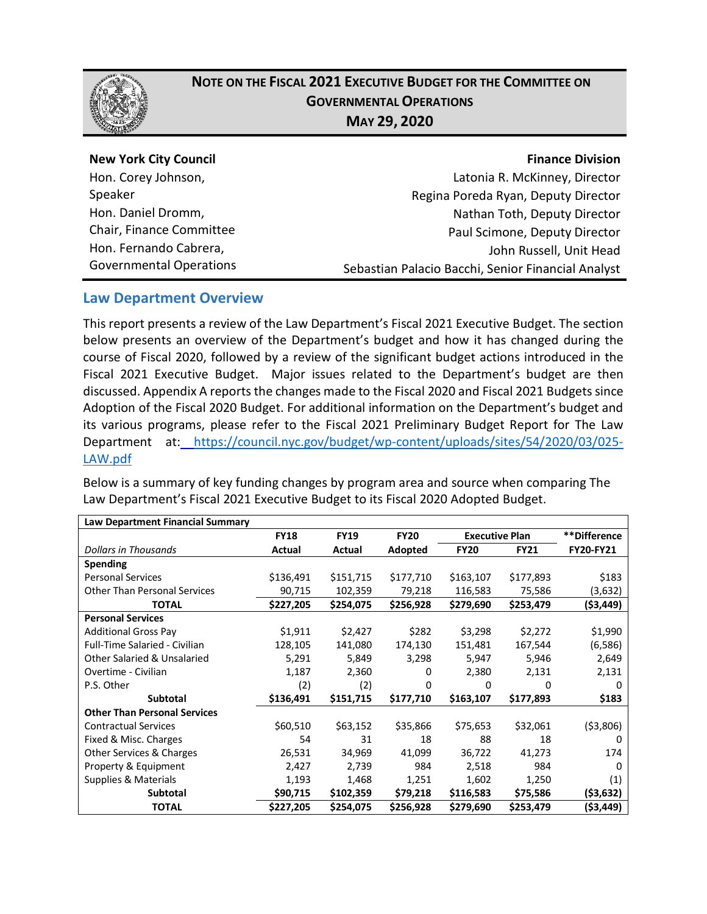

Speaker

# **NOTE ON THE FISCAL 2021 EXECUTIVE BUDGET FOR THE COMMITTEE ON GOVERNMENTAL OPERATIONS MAY 29, 2020**

#### **New York City Council** Hon. Corey Johnson,

Hon. Daniel Dromm, Chair, Finance Committee Hon. Fernando Cabrera, Governmental Operations

#### **Finance Division**

Latonia R. McKinney, Director Regina Poreda Ryan, Deputy Director Nathan Toth, Deputy Director Paul Scimone, Deputy Director John Russell, Unit Head Sebastian Palacio Bacchi, Senior Financial Analyst

# **Law Department Overview**

This report presents a review of the Law Department's Fiscal 2021 Executive Budget. The section below presents an overview of the Department's budget and how it has changed during the course of Fiscal 2020, followed by a review of the significant budget actions introduced in the Fiscal 2021 Executive Budget. Major issues related to the Department's budget are then discussed. Appendix A reports the changes made to the Fiscal 2020 and Fiscal 2021 Budgets since Adoption of the Fiscal 2020 Budget. For additional information on the Department's budget and its various programs, please refer to the Fiscal 2021 Preliminary Budget Report for The Law Department at: [https://council.nyc.gov/budget/wp-content/uploads/sites/54/2020/03/025-](https://council.nyc.gov/budget/wp-content/uploads/sites/54/2020/03/025-LAW.pdf) [LAW.pdf](https://council.nyc.gov/budget/wp-content/uploads/sites/54/2020/03/025-LAW.pdf)

Below is a summary of key funding changes by program area and source when comparing The Law Department's Fiscal 2021 Executive Budget to its Fiscal 2020 Adopted Budget.

| Law Department Financial Summary       |             |             |             |                       |             |              |
|----------------------------------------|-------------|-------------|-------------|-----------------------|-------------|--------------|
|                                        | <b>FY18</b> | <b>FY19</b> | <b>FY20</b> | <b>Executive Plan</b> |             | **Difference |
| Dollars in Thousands                   | Actual      | Actual      | Adopted     | <b>FY20</b>           | <b>FY21</b> | FY20-FY21    |
| <b>Spending</b>                        |             |             |             |                       |             |              |
| <b>Personal Services</b>               | \$136,491   | \$151,715   | \$177,710   | \$163,107             | \$177,893   | \$183        |
| <b>Other Than Personal Services</b>    | 90,715      | 102,359     | 79,218      | 116,583               | 75,586      | (3,632)      |
| TOTAL                                  | \$227,205   | \$254,075   | \$256,928   | \$279,690             | \$253,479   | ( \$3,449)   |
| <b>Personal Services</b>               |             |             |             |                       |             |              |
| <b>Additional Gross Pay</b>            | \$1,911     | \$2,427     | \$282       | \$3,298               | \$2,272     | \$1,990      |
| <b>Full-Time Salaried - Civilian</b>   | 128,105     | 141,080     | 174,130     | 151,481               | 167,544     | (6, 586)     |
| <b>Other Salaried &amp; Unsalaried</b> | 5,291       | 5,849       | 3,298       | 5,947                 | 5,946       | 2,649        |
| Overtime - Civilian                    | 1,187       | 2,360       | 0           | 2,380                 | 2,131       | 2,131        |
| P.S. Other                             | (2)         | (2)         | 0           | 0                     | O           | 0            |
| Subtotal                               | \$136,491   | \$151,715   | \$177,710   | \$163,107             | \$177,893   | \$183        |
| <b>Other Than Personal Services</b>    |             |             |             |                       |             |              |
| <b>Contractual Services</b>            | \$60,510    | \$63,152    | \$35,866    | \$75,653              | \$32,061    | ( \$3,806)   |
| Fixed & Misc. Charges                  | 54          | 31          | 18          | 88                    | 18          | $\mathbf{I}$ |
| Other Services & Charges               | 26,531      | 34,969      | 41,099      | 36,722                | 41,273      | 174          |
| Property & Equipment                   | 2,427       | 2,739       | 984         | 2,518                 | 984         | n            |
| <b>Supplies &amp; Materials</b>        | 1,193       | 1,468       | 1,251       | 1,602                 | 1,250       | (1)          |
| <b>Subtotal</b>                        | \$90,715    | \$102,359   | \$79,218    | \$116,583             | \$75,586    | ( \$3,632)   |
| <b>TOTAL</b>                           | \$227,205   | \$254,075   | \$256,928   | \$279,690             | \$253,479   | ( \$3,449)   |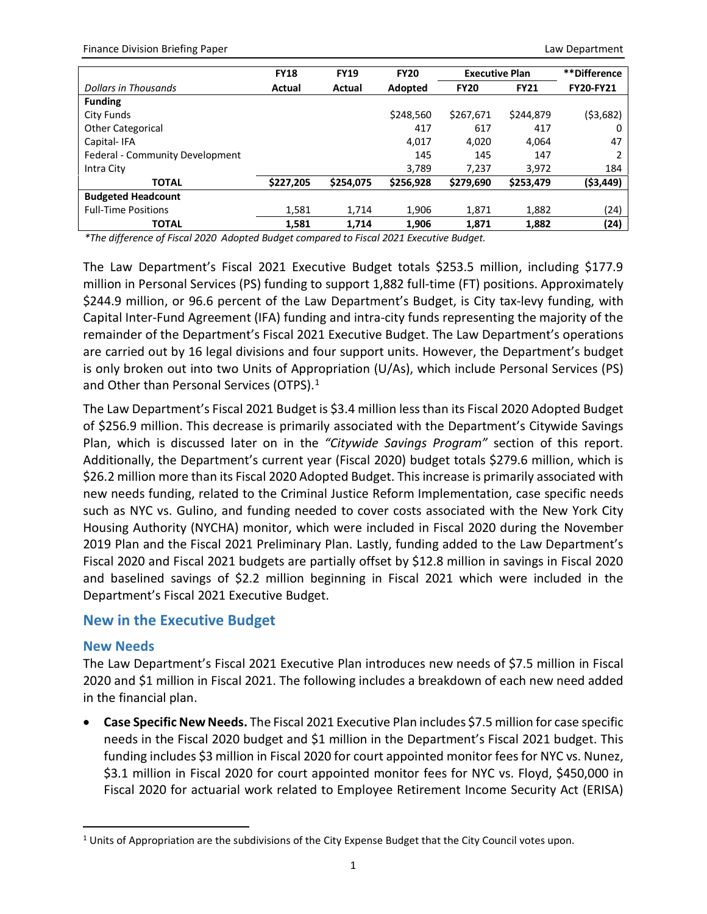Finance Division Briefing Paper Law Department Communication Communication Communication Communication Communication Communication Communication Communication Communication Communication Communication Communication Communi

|                                 | <b>FY18</b> | <b>FY19</b> | <b>FY20</b> | <b>Executive Plan</b> |             | **Difference     |
|---------------------------------|-------------|-------------|-------------|-----------------------|-------------|------------------|
| Dollars in Thousands            | Actual      | Actual      | Adopted     | <b>FY20</b>           | <b>FY21</b> | <b>FY20-FY21</b> |
| <b>Funding</b>                  |             |             |             |                       |             |                  |
| City Funds                      |             |             | \$248,560   | \$267,671             | \$244,879   | (53,682)         |
| <b>Other Categorical</b>        |             |             | 417         | 617                   | 417         | 0                |
| Capital-IFA                     |             |             | 4,017       | 4,020                 | 4,064       | 47               |
| Federal - Community Development |             |             | 145         | 145                   | 147         | $\mathcal{P}$    |
| Intra City                      |             |             | 3,789       | 7.237                 | 3,972       | 184              |
| <b>TOTAL</b>                    | \$227,205   | \$254,075   | \$256,928   | \$279,690             | \$253,479   | ( \$3,449)       |
| <b>Budgeted Headcount</b>       |             |             |             |                       |             |                  |
| <b>Full-Time Positions</b>      | 1,581       | 1.714       | 1.906       | 1.871                 | 1.882       | (24)             |
| <b>TOTAL</b>                    | 1,581       | 1.714       | 1,906       | 1,871                 | 1,882       | (24)             |

*\*The difference of Fiscal 2020 Adopted Budget compared to Fiscal 2021 Executive Budget.*

The Law Department's Fiscal 2021 Executive Budget totals \$253.5 million, including \$177.9 million in Personal Services (PS) funding to support 1,882 full-time (FT) positions. Approximately \$244.9 million, or 96.6 percent of the Law Department's Budget, is City tax-levy funding, with Capital Inter-Fund Agreement (IFA) funding and intra-city funds representing the majority of the remainder of the Department's Fiscal 2021 Executive Budget. The Law Department's operations are carried out by 16 legal divisions and four support units. However, the Department's budget is only broken out into two Units of Appropriation (U/As), which include Personal Services (PS) and Other than Personal Services (OTPS).<sup>[1](#page-1-0)</sup>

The Law Department's Fiscal 2021 Budget is \$3.4 million less than its Fiscal 2020 Adopted Budget of \$256.9 million. This decrease is primarily associated with the Department's Citywide Savings Plan, which is discussed later on in the *"Citywide Savings Program"* section of this report. Additionally, the Department's current year (Fiscal 2020) budget totals \$279.6 million, which is \$26.2 million more than its Fiscal 2020 Adopted Budget. This increase is primarily associated with new needs funding, related to the Criminal Justice Reform Implementation, case specific needs such as NYC vs. Gulino, and funding needed to cover costs associated with the New York City Housing Authority (NYCHA) monitor, which were included in Fiscal 2020 during the November 2019 Plan and the Fiscal 2021 Preliminary Plan. Lastly, funding added to the Law Department's Fiscal 2020 and Fiscal 2021 budgets are partially offset by \$12.8 million in savings in Fiscal 2020 and baselined savings of \$2.2 million beginning in Fiscal 2021 which were included in the Department's Fiscal 2021 Executive Budget.

## **New in the Executive Budget**

## **New Needs**

 $\overline{a}$ 

The Law Department's Fiscal 2021 Executive Plan introduces new needs of \$7.5 million in Fiscal 2020 and \$1 million in Fiscal 2021. The following includes a breakdown of each new need added in the financial plan.

• **Case Specific New Needs.** The Fiscal 2021 Executive Plan includes \$7.5 million for case specific needs in the Fiscal 2020 budget and \$1 million in the Department's Fiscal 2021 budget. This funding includes \$3 million in Fiscal 2020 for court appointed monitor fees for NYC vs. Nunez, \$3.1 million in Fiscal 2020 for court appointed monitor fees for NYC vs. Floyd, \$450,000 in Fiscal 2020 for actuarial work related to Employee Retirement Income Security Act (ERISA)

<span id="page-1-0"></span> $1$  Units of Appropriation are the subdivisions of the City Expense Budget that the City Council votes upon.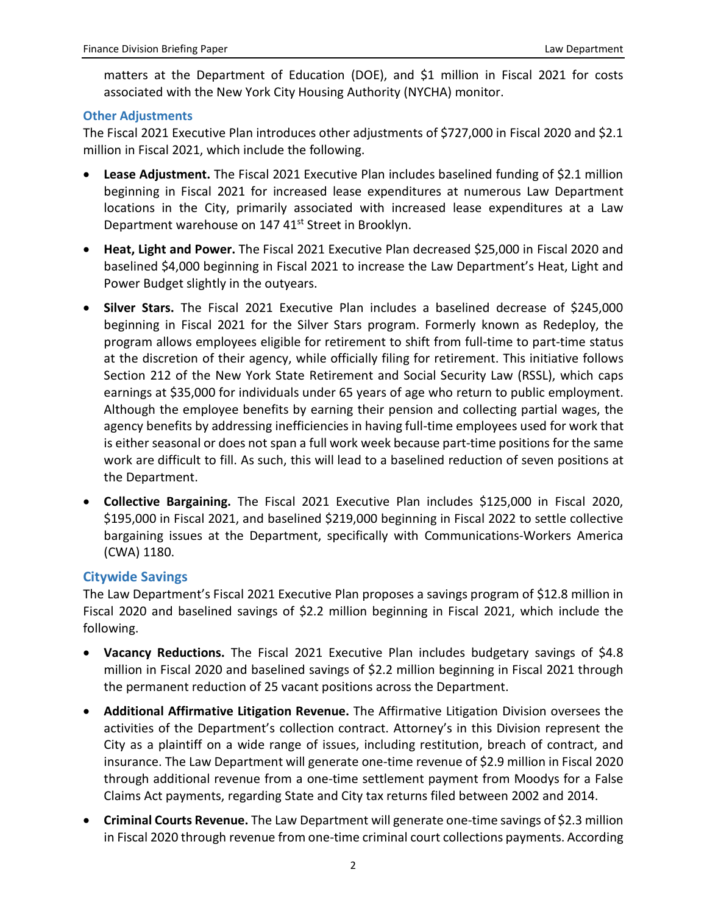matters at the Department of Education (DOE), and \$1 million in Fiscal 2021 for costs associated with the New York City Housing Authority (NYCHA) monitor.

#### **Other Adjustments**

The Fiscal 2021 Executive Plan introduces other adjustments of \$727,000 in Fiscal 2020 and \$2.1 million in Fiscal 2021, which include the following.

- **Lease Adjustment.** The Fiscal 2021 Executive Plan includes baselined funding of \$2.1 million beginning in Fiscal 2021 for increased lease expenditures at numerous Law Department locations in the City, primarily associated with increased lease expenditures at a Law Department warehouse on 147 41<sup>st</sup> Street in Brooklyn.
- **Heat, Light and Power.** The Fiscal 2021 Executive Plan decreased \$25,000 in Fiscal 2020 and baselined \$4,000 beginning in Fiscal 2021 to increase the Law Department's Heat, Light and Power Budget slightly in the outyears.
- **Silver Stars.** The Fiscal 2021 Executive Plan includes a baselined decrease of \$245,000 beginning in Fiscal 2021 for the Silver Stars program. Formerly known as Redeploy, the program allows employees eligible for retirement to shift from full-time to part-time status at the discretion of their agency, while officially filing for retirement. This initiative follows Section 212 of the New York State Retirement and Social Security Law (RSSL), which caps earnings at \$35,000 for individuals under 65 years of age who return to public employment. Although the employee benefits by earning their pension and collecting partial wages, the agency benefits by addressing inefficiencies in having full-time employees used for work that is either seasonal or does not span a full work week because part-time positions for the same work are difficult to fill. As such, this will lead to a baselined reduction of seven positions at the Department.
- **Collective Bargaining.** The Fiscal 2021 Executive Plan includes \$125,000 in Fiscal 2020, \$195,000 in Fiscal 2021, and baselined \$219,000 beginning in Fiscal 2022 to settle collective bargaining issues at the Department, specifically with Communications-Workers America (CWA) 1180.

## **Citywide Savings**

The Law Department's Fiscal 2021 Executive Plan proposes a savings program of \$12.8 million in Fiscal 2020 and baselined savings of \$2.2 million beginning in Fiscal 2021, which include the following.

- **Vacancy Reductions.** The Fiscal 2021 Executive Plan includes budgetary savings of \$4.8 million in Fiscal 2020 and baselined savings of \$2.2 million beginning in Fiscal 2021 through the permanent reduction of 25 vacant positions across the Department.
- **Additional Affirmative Litigation Revenue.** The Affirmative Litigation Division oversees the activities of the Department's collection contract. Attorney's in this Division represent the City as a plaintiff on a wide range of issues, including restitution, breach of contract, and insurance. The Law Department will generate one-time revenue of \$2.9 million in Fiscal 2020 through additional revenue from a one-time settlement payment from Moodys for a False Claims Act payments, regarding State and City tax returns filed between 2002 and 2014.
- **Criminal Courts Revenue.** The Law Department will generate one-time savings of \$2.3 million in Fiscal 2020 through revenue from one-time criminal court collections payments. According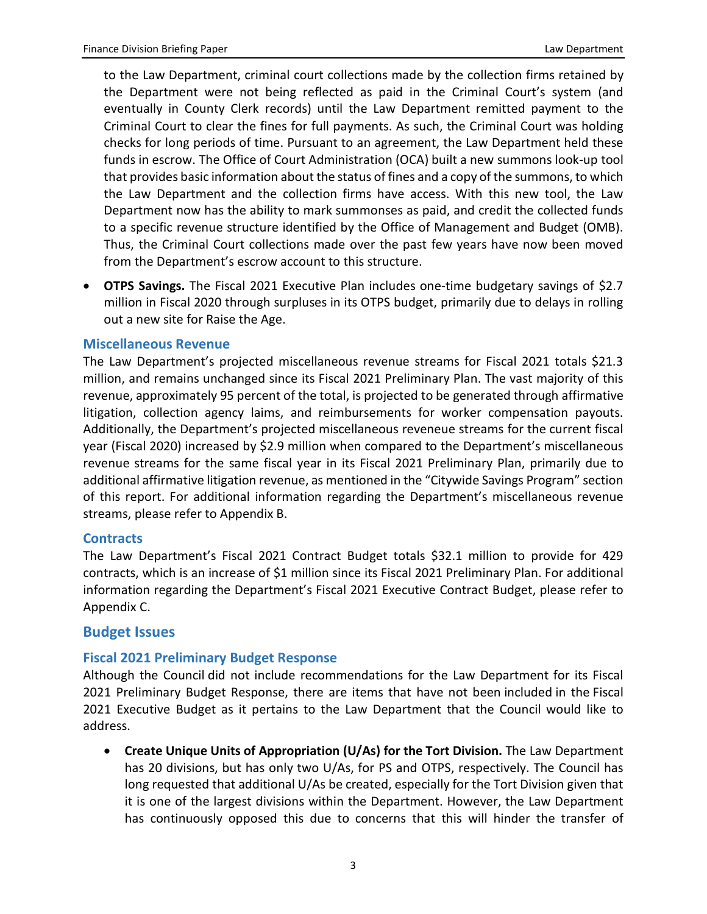to the Law Department, criminal court collections made by the collection firms retained by the Department were not being reflected as paid in the Criminal Court's system (and eventually in County Clerk records) until the Law Department remitted payment to the Criminal Court to clear the fines for full payments. As such, the Criminal Court was holding checks for long periods of time. Pursuant to an agreement, the Law Department held these funds in escrow. The Office of Court Administration (OCA) built a new summons look-up tool that provides basic information about the status of fines and a copy of the summons, to which the Law Department and the collection firms have access. With this new tool, the Law Department now has the ability to mark summonses as paid, and credit the collected funds to a specific revenue structure identified by the Office of Management and Budget (OMB). Thus, the Criminal Court collections made over the past few years have now been moved from the Department's escrow account to this structure.

• **OTPS Savings.** The Fiscal 2021 Executive Plan includes one-time budgetary savings of \$2.7 million in Fiscal 2020 through surpluses in its OTPS budget, primarily due to delays in rolling out a new site for Raise the Age.

#### **Miscellaneous Revenue**

The Law Department's projected miscellaneous revenue streams for Fiscal 2021 totals \$21.3 million, and remains unchanged since its Fiscal 2021 Preliminary Plan. The vast majority of this revenue, approximately 95 percent of the total, is projected to be generated through affirmative litigation, collection agency laims, and reimbursements for worker compensation payouts. Additionally, the Department's projected miscellaneous reveneue streams for the current fiscal year (Fiscal 2020) increased by \$2.9 million when compared to the Department's miscellaneous revenue streams for the same fiscal year in its Fiscal 2021 Preliminary Plan, primarily due to additional affirmative litigation revenue, as mentioned in the "Citywide Savings Program" section of this report. For additional information regarding the Department's miscellaneous revenue streams, please refer to Appendix B.

#### **Contracts**

The Law Department's Fiscal 2021 Contract Budget totals \$32.1 million to provide for 429 contracts, which is an increase of \$1 million since its Fiscal 2021 Preliminary Plan. For additional information regarding the Department's Fiscal 2021 Executive Contract Budget, please refer to Appendix C.

#### **Budget Issues**

#### **Fiscal 2021 Preliminary Budget Response**

Although the Council did not include recommendations for the Law Department for its Fiscal 2021 Preliminary Budget Response, there are items that have not been included in the Fiscal 2021 Executive Budget as it pertains to the Law Department that the Council would like to address.

• **Create Unique Units of Appropriation (U/As) for the Tort Division.** The Law Department has 20 divisions, but has only two U/As, for PS and OTPS, respectively. The Council has long requested that additional U/As be created, especially for the Tort Division given that it is one of the largest divisions within the Department. However, the Law Department has continuously opposed this due to concerns that this will hinder the transfer of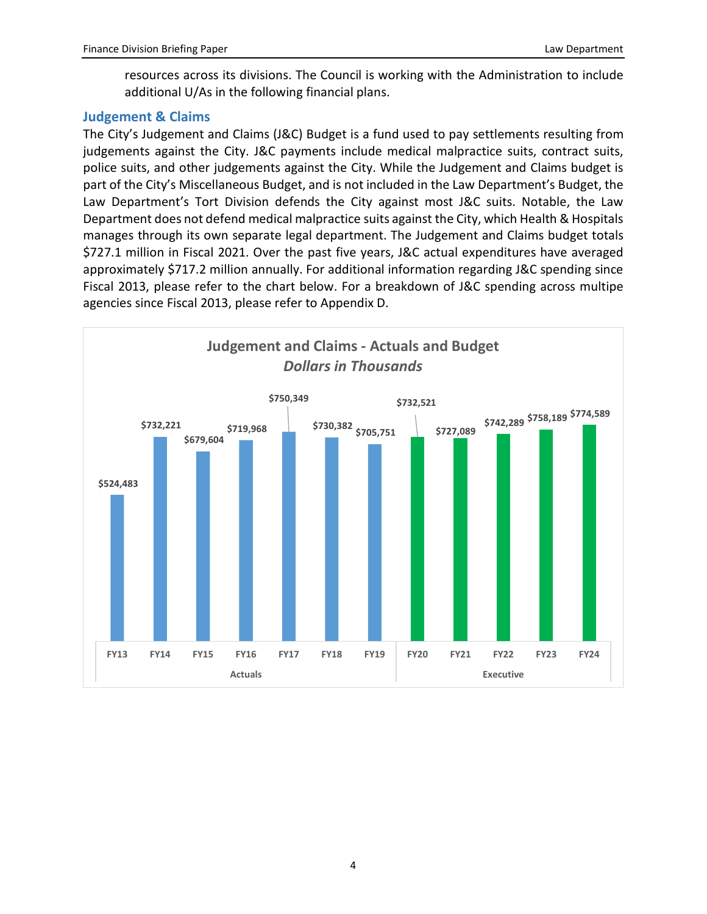resources across its divisions. The Council is working with the Administration to include additional U/As in the following financial plans.

## **Judgement & Claims**

The City's Judgement and Claims (J&C) Budget is a fund used to pay settlements resulting from judgements against the City. J&C payments include medical malpractice suits, contract suits, police suits, and other judgements against the City. While the Judgement and Claims budget is part of the City's Miscellaneous Budget, and is not included in the Law Department's Budget, the Law Department's Tort Division defends the City against most J&C suits. Notable, the Law Department does not defend medical malpractice suits against the City, which Health & Hospitals manages through its own separate legal department. The Judgement and Claims budget totals \$727.1 million in Fiscal 2021. Over the past five years, J&C actual expenditures have averaged approximately \$717.2 million annually. For additional information regarding J&C spending since Fiscal 2013, please refer to the chart below. For a breakdown of J&C spending across multipe agencies since Fiscal 2013, please refer to Appendix D.

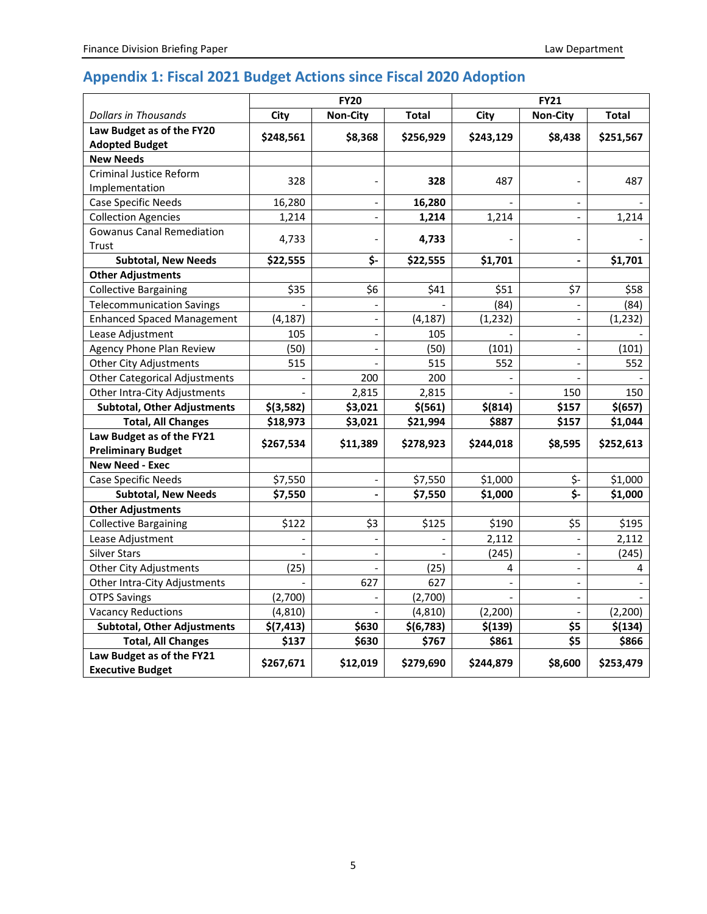# **Appendix 1: Fiscal 2021 Budget Actions since Fiscal 2020 Adoption**

|                                                        | <b>FY20</b> |                              |              | <b>FY21</b>    |                          |              |  |
|--------------------------------------------------------|-------------|------------------------------|--------------|----------------|--------------------------|--------------|--|
| <b>Dollars in Thousands</b>                            | City        | <b>Non-City</b>              | <b>Total</b> | City           | <b>Non-City</b>          | <b>Total</b> |  |
| Law Budget as of the FY20                              | \$248,561   | \$8,368                      | \$256,929    | \$243,129      | \$8,438                  | \$251,567    |  |
| <b>Adopted Budget</b><br><b>New Needs</b>              |             |                              |              |                |                          |              |  |
| Criminal Justice Reform                                |             |                              |              |                |                          |              |  |
| Implementation                                         | 328         |                              | 328          | 487            |                          | 487          |  |
| Case Specific Needs                                    | 16,280      | $\overline{\phantom{a}}$     | 16,280       |                | $\blacksquare$           |              |  |
| <b>Collection Agencies</b>                             | 1,214       |                              | 1,214        | 1,214          |                          | 1,214        |  |
| <b>Gowanus Canal Remediation</b>                       |             |                              |              |                |                          |              |  |
| Trust                                                  | 4,733       |                              | 4,733        |                | $\overline{a}$           |              |  |
| <b>Subtotal, New Needs</b>                             | \$22,555    | \$-                          | \$22,555     | \$1,701        | $\overline{\phantom{a}}$ | \$1,701      |  |
| <b>Other Adjustments</b>                               |             |                              |              |                |                          |              |  |
| <b>Collective Bargaining</b>                           | \$35        | \$6                          | \$41         | \$51           | \$7                      | \$58         |  |
| <b>Telecommunication Savings</b>                       |             |                              |              | (84)           | $\overline{\phantom{a}}$ | (84)         |  |
| <b>Enhanced Spaced Management</b>                      | (4, 187)    | $\overline{\phantom{a}}$     | (4, 187)     | (1, 232)       | $\overline{a}$           | (1, 232)     |  |
| Lease Adjustment                                       | 105         |                              | 105          |                |                          |              |  |
| Agency Phone Plan Review                               | (50)        | $\frac{1}{2}$                | (50)         | (101)          | $\overline{\phantom{a}}$ | (101)        |  |
| <b>Other City Adjustments</b>                          | 515         |                              | 515          | 552            | $\blacksquare$           | 552          |  |
| <b>Other Categorical Adjustments</b>                   |             | 200                          | 200          |                |                          |              |  |
| Other Intra-City Adjustments                           |             | 2,815                        | 2,815        |                | 150                      | 150          |  |
| <b>Subtotal, Other Adjustments</b>                     | $$$ (3,582) | \$3,021                      | $$$ (561)    | $$$ (814)      | \$157                    | \$(657)      |  |
| <b>Total, All Changes</b>                              | \$18,973    | \$3,021                      | \$21,994     | \$887          | \$157                    | \$1,044      |  |
| Law Budget as of the FY21<br><b>Preliminary Budget</b> | \$267,534   | \$11,389                     | \$278,923    | \$244,018      | \$8,595                  | \$252,613    |  |
| <b>New Need - Exec</b>                                 |             |                              |              |                |                          |              |  |
| Case Specific Needs                                    | \$7,550     | $\overline{\phantom{a}}$     | \$7,550      | \$1,000        | \$-                      | \$1,000      |  |
| <b>Subtotal, New Needs</b>                             | \$7,550     | $\qquad \qquad \blacksquare$ | \$7,550      | \$1,000        | $\overline{\mathsf{S}}$  | \$1,000      |  |
| <b>Other Adjustments</b>                               |             |                              |              |                |                          |              |  |
| <b>Collective Bargaining</b>                           | \$122       | \$3                          | \$125        | \$190          | \$5                      | \$195        |  |
| Lease Adjustment                                       |             |                              |              | 2,112          |                          | 2,112        |  |
| <b>Silver Stars</b>                                    |             |                              |              | (245)          |                          | (245)        |  |
| <b>Other City Adjustments</b>                          | (25)        | $\overline{a}$               | (25)         | 4              | $\overline{a}$           | 4            |  |
| Other Intra-City Adjustments                           |             | 627                          | 627          | $\overline{a}$ | $\frac{1}{2}$            |              |  |
| <b>OTPS Savings</b>                                    | (2,700)     | $\overline{\phantom{a}}$     | (2,700)      |                | $\overline{\phantom{a}}$ |              |  |
| <b>Vacancy Reductions</b>                              | (4, 810)    |                              | (4, 810)     | (2, 200)       | $\overline{\phantom{a}}$ | (2,200)      |  |
| <b>Subtotal, Other Adjustments</b>                     | \$(7, 413)  | \$630                        | \$(6, 783)   | \$(139)        | \$5                      | \$(134)      |  |
| <b>Total, All Changes</b>                              | \$137       | \$630                        | \$767        | \$861          | \$5                      | \$866        |  |
| Law Budget as of the FY21<br><b>Executive Budget</b>   | \$267,671   | \$12,019                     | \$279,690    | \$244,879      | \$8,600                  | \$253,479    |  |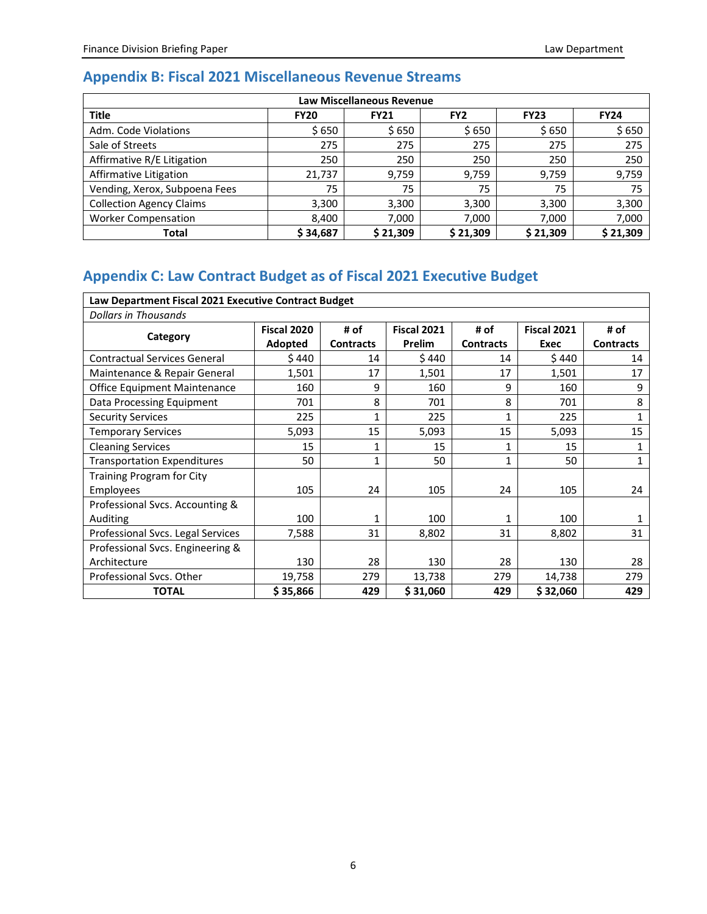# **Appendix B: Fiscal 2021 Miscellaneous Revenue Streams**

| <b>Law Miscellaneous Revenue</b> |             |             |                 |             |             |  |  |  |  |
|----------------------------------|-------------|-------------|-----------------|-------------|-------------|--|--|--|--|
| <b>Title</b>                     | <b>FY20</b> | <b>FY21</b> | FY <sub>2</sub> | <b>FY23</b> | <b>FY24</b> |  |  |  |  |
| Adm. Code Violations             | \$ 650      | \$650       | \$650           | \$650       | \$650       |  |  |  |  |
| Sale of Streets                  | 275         | 275         | 275             | 275         | 275         |  |  |  |  |
| Affirmative R/E Litigation       | 250         | 250         | 250             | 250         | 250         |  |  |  |  |
| Affirmative Litigation           | 21,737      | 9,759       | 9,759           | 9,759       | 9,759       |  |  |  |  |
| Vending, Xerox, Subpoena Fees    | 75          | 75          | 75              | 75          | 75          |  |  |  |  |
| <b>Collection Agency Claims</b>  | 3,300       | 3,300       | 3,300           | 3,300       | 3,300       |  |  |  |  |
| <b>Worker Compensation</b>       | 8,400       | 7,000       | 7,000           | 7,000       | 7,000       |  |  |  |  |
| Total                            | \$34,687    | \$21.309    | \$21.309        | \$21.309    | \$21,309    |  |  |  |  |

# **Appendix C: Law Contract Budget as of Fiscal 2021 Executive Budget**

| Law Department Fiscal 2021 Executive Contract Budget |             |                  |                    |                  |                    |                  |  |  |
|------------------------------------------------------|-------------|------------------|--------------------|------------------|--------------------|------------------|--|--|
| <b>Dollars in Thousands</b>                          |             |                  |                    |                  |                    |                  |  |  |
| Category                                             | Fiscal 2020 | # of             | <b>Fiscal 2021</b> | # of             | <b>Fiscal 2021</b> | # of             |  |  |
|                                                      | Adopted     | <b>Contracts</b> | Prelim             | <b>Contracts</b> | Exec               | <b>Contracts</b> |  |  |
| <b>Contractual Services General</b>                  | \$ 440      | 14               | \$440              | 14               | \$440              | 14               |  |  |
| Maintenance & Repair General                         | 1,501       | 17               | 1,501              | 17               | 1,501              | 17               |  |  |
| Office Equipment Maintenance                         | 160         | 9                | 160                | 9                | 160                | 9                |  |  |
| Data Processing Equipment                            | 701         | 8                | 701                | 8                | 701                | 8                |  |  |
| <b>Security Services</b>                             | 225         | 1                | 225                | 1                | 225                | 1                |  |  |
| <b>Temporary Services</b>                            | 5,093       | 15               | 5,093              | 15               | 5,093              | 15               |  |  |
| <b>Cleaning Services</b>                             | 15          | 1                | 15                 | 1                | 15                 |                  |  |  |
| <b>Transportation Expenditures</b>                   | 50          | 1                | 50                 | 1                | 50                 | 1                |  |  |
| Training Program for City                            |             |                  |                    |                  |                    |                  |  |  |
| Employees                                            | 105         | 24               | 105                | 24               | 105                | 24               |  |  |
| Professional Svcs. Accounting &                      |             |                  |                    |                  |                    |                  |  |  |
| Auditing                                             | 100         | 1                | 100                | 1                | 100                |                  |  |  |
| Professional Svcs. Legal Services                    | 7,588       | 31               | 8,802              | 31               | 8,802              | 31               |  |  |
| Professional Svcs. Engineering &                     |             |                  |                    |                  |                    |                  |  |  |
| Architecture                                         | 130         | 28               | 130                | 28               | 130                | 28               |  |  |
| Professional Sycs. Other                             | 19,758      | 279              | 13,738             | 279              | 14,738             | 279              |  |  |
| <b>TOTAL</b>                                         | \$35,866    | 429              | \$31,060           | 429              | \$32,060           | 429              |  |  |